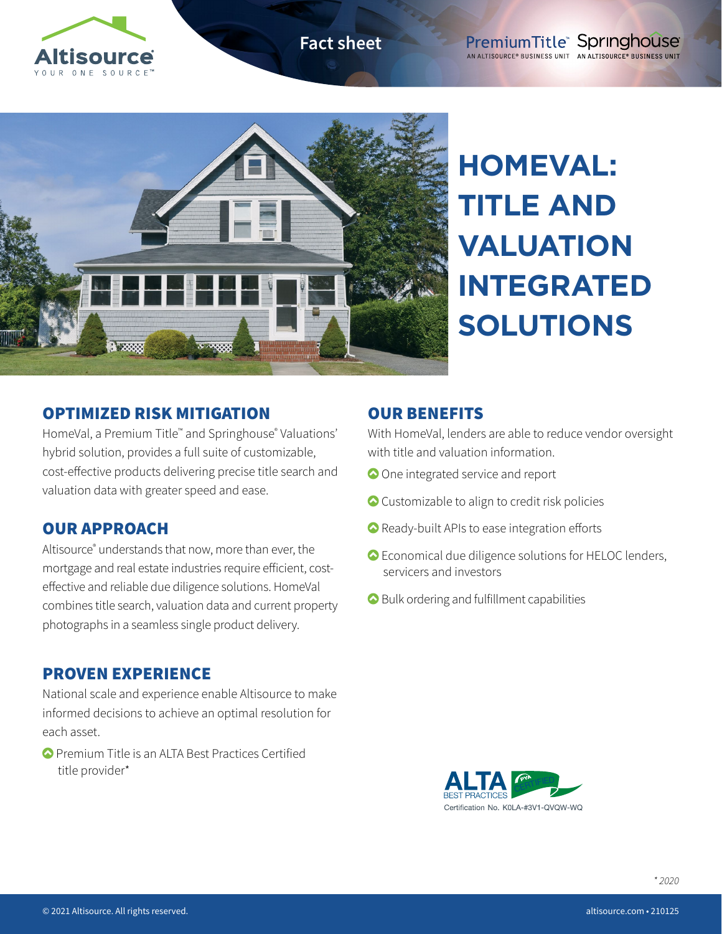

**Fact sheet**



**HOMEVAL: TITLE AND VALUATION INTEGRATED SOLUTIONS**

## OPTIMIZED RISK MITIGATION

HomeVal, a Premium Title™ and Springhouse® Valuations' hybrid solution, provides a full suite of customizable, cost-effective products delivering precise title search and valuation data with greater speed and ease.

# OUR APPROACH

Altisource® understands that now, more than ever, the mortgage and real estate industries require efficient, costeffective and reliable due diligence solutions. HomeVal combines title search, valuation data and current property photographs in a seamless single product delivery.

#### PROVEN EXPERIENCE

National scale and experience enable Altisource to make informed decisions to achieve an optimal resolution for each asset.

 Premium Title is an ALTA Best Practices Certified title provider\*

## OUR BENEFITS

With HomeVal, lenders are able to reduce vendor oversight with title and valuation information.

- One integrated service and report
- Customizable to align to credit risk policies
- Ready-built APIs to ease integration efforts
- Economical due diligence solutions for HELOC lenders, servicers and investors
- Bulk ordering and fulfillment capabilities